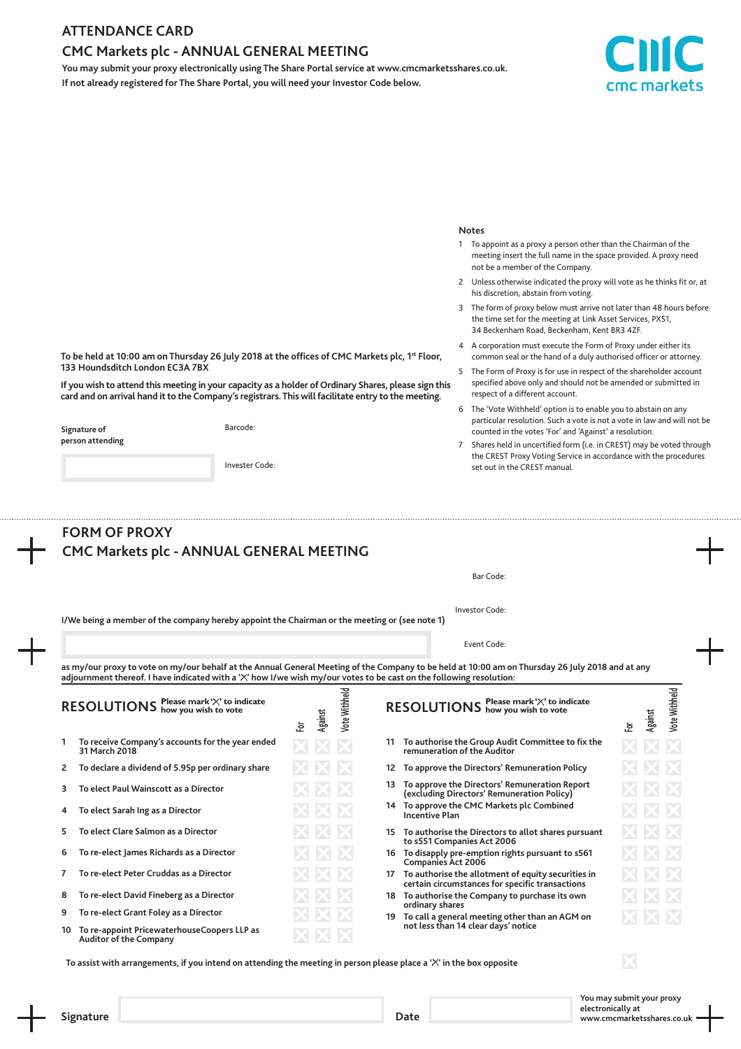### **ATTENDANCE CARD**

## **CMC Markets plc - ANNUAL GENERAL MEETING**

**You may submit your proxy electronically using The Share Portal service at www.cmcmarketsshares.co.uk. If not already registered for The Share Portal, you will need your Investor Code below.**



#### **Notes**

- 1 To appoint as a proxy a person other than the Chairman of the meeting insert the full name in the space provided. A proxy need not be a member of the Company.
- 2 Unless otherwise indicated the proxy will vote as he thinks fit or, at his discretion, abstain from voting.
- 3 The form of proxy below must arrive not later than 48 hours before the time set for the meeting at Link Asset Services, PXS1, 34 Beckenham Road, Beckenham, Kent BR3 4ZF.
- 4 A corporation must execute the Form of Proxy under either its common seal or the hand of a duly authorised officer or attorney.
- 5 The Form of Proxy is for use in respect of the shareholder account specified above only and should not be amended or submitted in respect of a different account.
- 6 The 'Vote Withheld' option is to enable you to abstain on any particular resolution. Such a vote is not a vote in law and will not be counted in the votes 'For' and 'Against' a resolution.
- 7 Shares held in uncertified form (i.e. in CREST) may be voted through the CREST Proxy Voting Service in accordance with the procedures set out in the CREST manual.

|    | CMC Markets plc - ANNUAL GENERAL MEETING                                                                                                                       |                                                                                                                 |         |                      |    |                                                                                                                                                                                            |    |         |               |  |
|----|----------------------------------------------------------------------------------------------------------------------------------------------------------------|-----------------------------------------------------------------------------------------------------------------|---------|----------------------|----|--------------------------------------------------------------------------------------------------------------------------------------------------------------------------------------------|----|---------|---------------|--|
|    |                                                                                                                                                                | Bar Code:                                                                                                       |         |                      |    |                                                                                                                                                                                            |    |         |               |  |
|    |                                                                                                                                                                | Investor Code:<br>I/We being a member of the company hereby appoint the Chairman or the meeting or (see note 1) |         |                      |    |                                                                                                                                                                                            |    |         |               |  |
|    | Event Code:                                                                                                                                                    |                                                                                                                 |         |                      |    |                                                                                                                                                                                            |    |         |               |  |
|    | adjournment thereof. I have indicated with a 'X' how I/we wish my/our votes to be cast on the following resolution:<br>RESOLUTIONS Please mark 'X' to indicate | ē.                                                                                                              | Against | <b>/ote Withheld</b> |    | as my/our proxy to vote on my/our behalf at the Annual General Meeting of the Company to be held at 10:00 am on Thursday 26 July 2018 and at any<br>RESOLUTIONS Please mark'X' to indicate | ē. | Against | Vote Withheld |  |
|    | To receive Company's accounts for the year ended<br>31 March 2018                                                                                              |                                                                                                                 |         |                      |    | 11 To authorise the Group Audit Committee to fix the<br>remuneration of the Auditor                                                                                                        |    |         |               |  |
| 2  | To declare a dividend of 5.95p per ordinary share                                                                                                              |                                                                                                                 |         |                      | 12 | To approve the Directors' Remuneration Policy                                                                                                                                              |    |         |               |  |
| з  | To elect Paul Wainscott as a Director                                                                                                                          |                                                                                                                 |         |                      |    | 13 To approve the Directors' Remuneration Report<br>(excluding Directors' Remuneration Policy)                                                                                             |    |         |               |  |
| 4  | To elect Sarah Ing as a Director                                                                                                                               |                                                                                                                 |         |                      |    | 14 To approve the CMC Markets plc Combined<br><b>Incentive Plan</b>                                                                                                                        |    |         |               |  |
| 5  | To elect Clare Salmon as a Director                                                                                                                            |                                                                                                                 |         |                      |    | 15 To authorise the Directors to allot shares pursuant<br>to s551 Companies Act 2006                                                                                                       |    |         |               |  |
| 6  | To re-elect James Richards as a Director                                                                                                                       |                                                                                                                 |         |                      |    | 16 To disapply pre-emption rights pursuant to s561<br><b>Companies Act 2006</b>                                                                                                            |    |         |               |  |
| 7  | To re-elect Peter Cruddas as a Director                                                                                                                        |                                                                                                                 |         |                      |    | 17 To authorise the allotment of equity securities in<br>certain circumstances for specific transactions                                                                                   |    |         |               |  |
| 8  | To re-elect David Fineberg as a Director                                                                                                                       |                                                                                                                 |         |                      |    | 18 To authorise the Company to purchase its own<br>ordinary shares                                                                                                                         |    |         |               |  |
| 9  | To re-elect Grant Foley as a Director                                                                                                                          |                                                                                                                 |         |                      |    | 19 To call a general meeting other than an AGM on                                                                                                                                          |    |         |               |  |
| 10 | To re-appoint PricewaterhouseCoopers LLP as<br><b>Auditor of the Company</b>                                                                                   |                                                                                                                 |         |                      |    | not less than 14 clear days' notice                                                                                                                                                        |    |         |               |  |
|    |                                                                                                                                                                |                                                                                                                 |         |                      |    |                                                                                                                                                                                            |    |         |               |  |

**You may submit your proxy electronically at Signature Date www.cmcmarketsshares.co.uk**

**To be held at 10:00 am on Thursday 26 July 2018 at the offices of CMC Markets plc, 1st Floor, 133 Houndsditch London EC3A 7BX**

**If you wish to attend this meeting in your capacity as a holder of Ordinary Shares, please sign this card and on arrival hand it to the Company's registrars. This will facilitate entry to the meeting.**

**Signature of person attending** Barcode:

Invester Code:

| Signature |  |
|-----------|--|